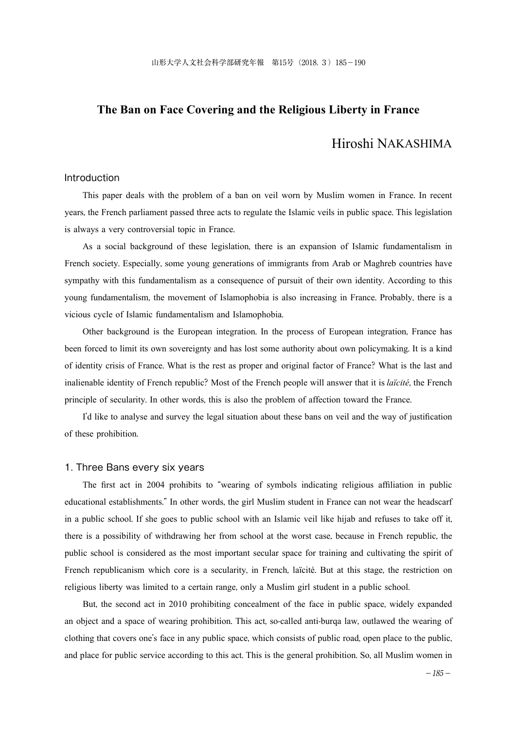## **The Ban on Face Covering and the Religious Liberty in France**

# Hiroshi NAKASHIMA

## Introduction

 This paper deals with the problem of a ban on veil worn by Muslim women in France. In recent years, the French parliament passed three acts to regulate the Islamic veils in public space. This legislation is always a very controversial topic in France.

 As a social background of these legislation, there is an expansion of Islamic fundamentalism in French society. Especially, some young generations of immigrants from Arab or Maghreb countries have sympathy with this fundamentalism as a consequence of pursuit of their own identity. According to this young fundamentalism, the movement of Islamophobia is also increasing in France. Probably, there is a vicious cycle of Islamic fundamentalism and Islamophobia.

 Other background is the European integration. In the process of European integration, France has been forced to limit its own sovereignty and has lost some authority about own policymaking. It is a kind of identity crisis of France. What is the rest as proper and original factor of France? What is the last and inalienable identity of French republic? Most of the French people will answer that it is *laïcité*, the French principle of secularity. In other words, this is also the problem of affection toward the France.

 I'd like to analyse and survey the legal situation about these bans on veil and the way of justification of these prohibition.

### 1. Three Bans every six years

 The first act in 2004 prohibits to "wearing of symbols indicating religious affiliation in public educational establishments." In other words, the girl Muslim student in France can not wear the headscarf in a public school. If she goes to public school with an Islamic veil like hijab and refuses to take off it, there is a possibility of withdrawing her from school at the worst case, because in French republic, the public school is considered as the most important secular space for training and cultivating the spirit of French republicanism which core is a secularity, in French, laïcité. But at this stage, the restriction on religious liberty was limited to a certain range, only a Muslim girl student in a public school.

 But, the second act in 2010 prohibiting concealment of the face in public space, widely expanded an object and a space of wearing prohibition. This act, so-called anti-burqa law, outlawed the wearing of clothing that covers one's face in any public space, which consists of public road, open place to the public, and place for public service according to this act. This is the general prohibition. So, all Muslim women in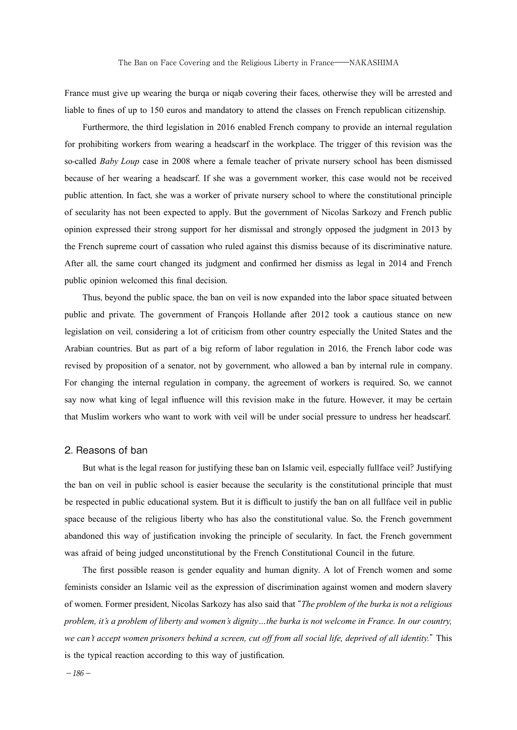France must give up wearing the burqa or niqab covering their faces, otherwise they will be arrested and liable to fines of up to 150 euros and mandatory to attend the classes on French republican citizenship.

 Furthermore, the third legislation in 2016 enabled French company to provide an internal regulation for prohibiting workers from wearing a headscarf in the workplace. The trigger of this revision was the so-called *Baby Loup* case in 2008 where a female teacher of private nursery school has been dismissed because of her wearing a headscarf. If she was a government worker, this case would not be received public attention. In fact, she was a worker of private nursery school to where the constitutional principle of secularity has not been expected to apply. But the government of Nicolas Sarkozy and French public opinion expressed their strong support for her dismissal and strongly opposed the judgment in 2013 by the French supreme court of cassation who ruled against this dismiss because of its discriminative nature. After all, the same court changed its judgment and confirmed her dismiss as legal in 2014 and French public opinion welcomed this final decision.

 Thus, beyond the public space, the ban on veil is now expanded into the labor space situated between public and private. The government of François Hollande after 2012 took a cautious stance on new legislation on veil, considering a lot of criticism from other country especially the United States and the Arabian countries. But as part of a big reform of labor regulation in 2016, the French labor code was revised by proposition of a senator, not by government, who allowed a ban by internal rule in company. For changing the internal regulation in company, the agreement of workers is required. So, we cannot say now what king of legal influence will this revision make in the future. However, it may be certain that Muslim workers who want to work with veil will be under social pressure to undress her headscarf.

### 2. Reasons of ban

 But what is the legal reason for justifying these ban on Islamic veil, especially fullface veil? Justifying the ban on veil in public school is easier because the secularity is the constitutional principle that must be respected in public educational system. But it is difficult to justify the ban on all fullface veil in public space because of the religious liberty who has also the constitutional value. So, the French government abandoned this way of justification invoking the principle of secularity. In fact, the French government was afraid of being judged unconstitutional by the French Constitutional Council in the future.

 The first possible reason is gender equality and human dignity. A lot of French women and some feminists consider an Islamic veil as the expression of discrimination against women and modern slavery of women. Former president, Nicolas Sarkozy has also said that "*The problem of the burka is not a religious problem, it's a problem of liberty and women's dignity…the burka is not welcome in France. In our country, we can't accept women prisoners behind a screen, cut off from all social life, deprived of all identity.*" This is the typical reaction according to this way of justification.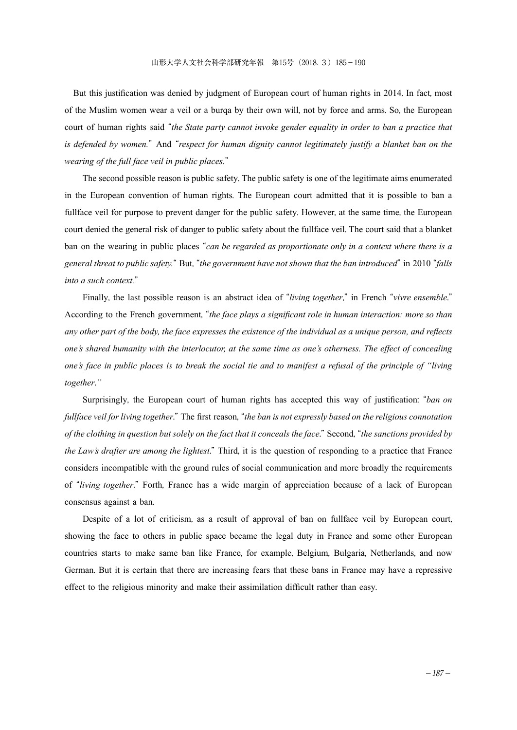But this justification was denied by judgment of European court of human rights in 2014. In fact, most of the Muslim women wear a veil or a burqa by their own will, not by force and arms. So, the European court of human rights said "*the State party cannot invoke gender equality in order to ban a practice that is defended by women.*" And "*respect for human dignity cannot legitimately justify a blanket ban on the wearing of the full face veil in public places.*"

 The second possible reason is public safety. The public safety is one of the legitimate aims enumerated in the European convention of human rights. The European court admitted that it is possible to ban a fullface veil for purpose to prevent danger for the public safety. However, at the same time, the European court denied the general risk of danger to public safety about the fullface veil. The court said that a blanket ban on the wearing in public places "*can be regarded as proportionate only in a context where there is a general threat to public safety.*" But, "*the government have not shown that the ban introduced*" in 2010 "*falls into a such context.*"

 Finally, the last possible reason is an abstract idea of "*living together*," in French "*vivre ensemble*." According to the French government, "*the face plays a significant role in human interaction: more so than any other part of the body, the face expresses the existence of the individual as a unique person, and reflects one's shared humanity with the interlocutor, at the same time as one's otherness. The effect of concealing one's face in public places is to break the social tie and to manifest a refusal of the principle of "living together*.*"*

 Surprisingly, the European court of human rights has accepted this way of justification: "*ban on fullface veil for living together*." The first reason, "*the ban is not expressly based on the religious connotation of the clothing in question but solely on the fact that it conceals the face*." Second, "*the sanctions provided by the Law's drafter are among the lightest*." Third, it is the question of responding to a practice that France considers incompatible with the ground rules of social communication and more broadly the requirements of "*living together*." Forth, France has a wide margin of appreciation because of a lack of European consensus against a ban.

 Despite of a lot of criticism, as a result of approval of ban on fullface veil by European court, showing the face to others in public space became the legal duty in France and some other European countries starts to make same ban like France, for example, Belgium, Bulgaria, Netherlands, and now German. But it is certain that there are increasing fears that these bans in France may have a repressive effect to the religious minority and make their assimilation difficult rather than easy.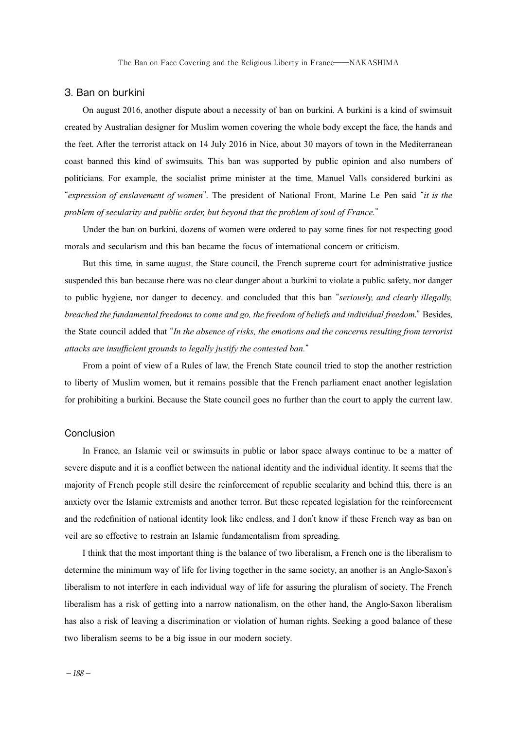The Ban on Face Covering and the Religious Liberty in France——NAKASHIMA

#### 3. Ban on burkini

 On august 2016, another dispute about a necessity of ban on burkini. A burkini is a kind of swimsuit created by Australian designer for Muslim women covering the whole body except the face, the hands and the feet. After the terrorist attack on 14 July 2016 in Nice, about 30 mayors of town in the Mediterranean coast banned this kind of swimsuits. This ban was supported by public opinion and also numbers of politicians. For example, the socialist prime minister at the time, Manuel Valls considered burkini as "*expression of enslavement of women*". The president of National Front, Marine Le Pen said "*it is the problem of secularity and public order, but beyond that the problem of soul of France.*"

 Under the ban on burkini, dozens of women were ordered to pay some fines for not respecting good morals and secularism and this ban became the focus of international concern or criticism.

 But this time, in same august, the State council, the French supreme court for administrative justice suspended this ban because there was no clear danger about a burkini to violate a public safety, nor danger to public hygiene, nor danger to decency, and concluded that this ban "*seriously, and clearly illegally, breached the fundamental freedoms to come and go, the freedom of beliefs and individual freedom*." Besides, the State council added that "*In the absence of risks, the emotions and the concerns resulting from terrorist attacks are insufficient grounds to legally justify the contested ban.*"

 From a point of view of a Rules of law, the French State council tried to stop the another restriction to liberty of Muslim women, but it remains possible that the French parliament enact another legislation for prohibiting a burkini. Because the State council goes no further than the court to apply the current law.

#### Conclusion

 In France, an Islamic veil or swimsuits in public or labor space always continue to be a matter of severe dispute and it is a conflict between the national identity and the individual identity. It seems that the majority of French people still desire the reinforcement of republic secularity and behind this, there is an anxiety over the Islamic extremists and another terror. But these repeated legislation for the reinforcement and the redefinition of national identity look like endless, and I don't know if these French way as ban on veil are so effective to restrain an Islamic fundamentalism from spreading.

 I think that the most important thing is the balance of two liberalism, a French one is the liberalism to determine the minimum way of life for living together in the same society, an another is an Anglo-Saxon's liberalism to not interfere in each individual way of life for assuring the pluralism of society. The French liberalism has a risk of getting into a narrow nationalism, on the other hand, the Anglo-Saxon liberalism has also a risk of leaving a discrimination or violation of human rights. Seeking a good balance of these two liberalism seems to be a big issue in our modern society.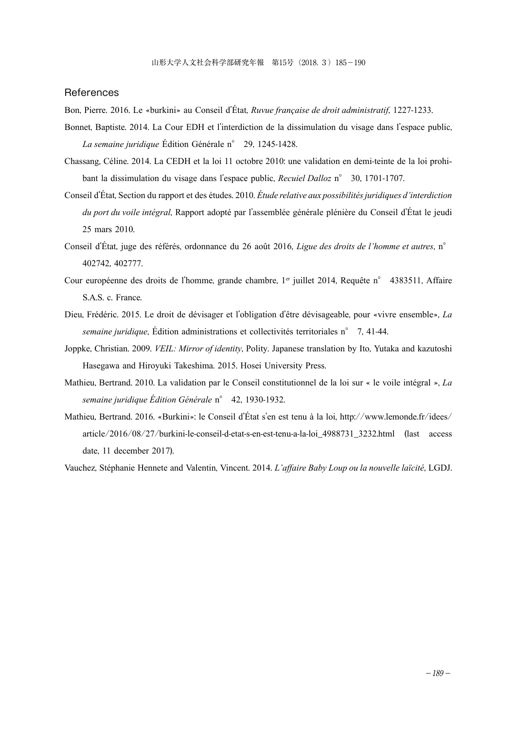#### References

Bon, Pierre. 2016. Le «burkini» au Conseil d'État, *Ruvue française de droit administratif*, 1227-1233.

- Bonnet, Baptiste. 2014. La Cour EDH et l'interdiction de la dissimulation du visage dans l'espace public, *La semaine juridique* Édition Générale n° 29, 1245-1428.
- Chassang, Céline. 2014. La CEDH et la loi 11 octobre 2010: une validation en demi-teinte de la loi prohibant la dissimulation du visage dans l'espace public, *Recuiel Dalloz* n° 30, 1701-1707.
- Conseil d'État, Section du rapport et des études. 2010. *Étude relative aux possibilités juridiques d'interdiction du port du voile intégral*, Rapport adopté par l'assemblée générale plénière du Conseil d'État le jeudi 25 mars 2010.
- Conseil d'État, juge des référés, ordonnance du 26 août 2016, *Ligue des droits de l'homme et autres*, n° 402742, 402777.
- Cour européenne des droits de l'homme, grande chambre, 1<sup>er</sup> juillet 2014, Requête n° 4383511, Affaire S.A.S. c. France.
- Dieu, Frédéric. 2015. Le droit de dévisager et l'obligation d'être dévisageable, pour «vivre ensemble», *La semaine juridique*, Édition administrations et collectivités territoriales n° 7, 41-44.
- Joppke, Christian. 2009. *VEIL: Mirror of identity*, Polity. Japanese translation by Ito, Yutaka and kazutoshi Hasegawa and Hiroyuki Takeshima. 2015. Hosei University Press.
- Mathieu, Bertrand. 2010. La validation par le Conseil constitutionnel de la loi sur « le voile intégral », *La semaine juridique Édition Générale* n° 42, 1930-1932.
- Mathieu, Bertrand. 2016. «Burkini»: le Conseil d'État s'en est tenu à la loi, http://www.lemonde.fr/idees/ article/2016/08/27/burkini-le-conseil-d-etat-s-en-est-tenu-a-la-loi\_4988731\_3232.html (last access date, 11 december 2017).

Vauchez, Stéphanie Hennete and Valentin, Vincent. 2014. *L'affaire Baby Loup ou la nouvelle laïcité*, LGDJ.